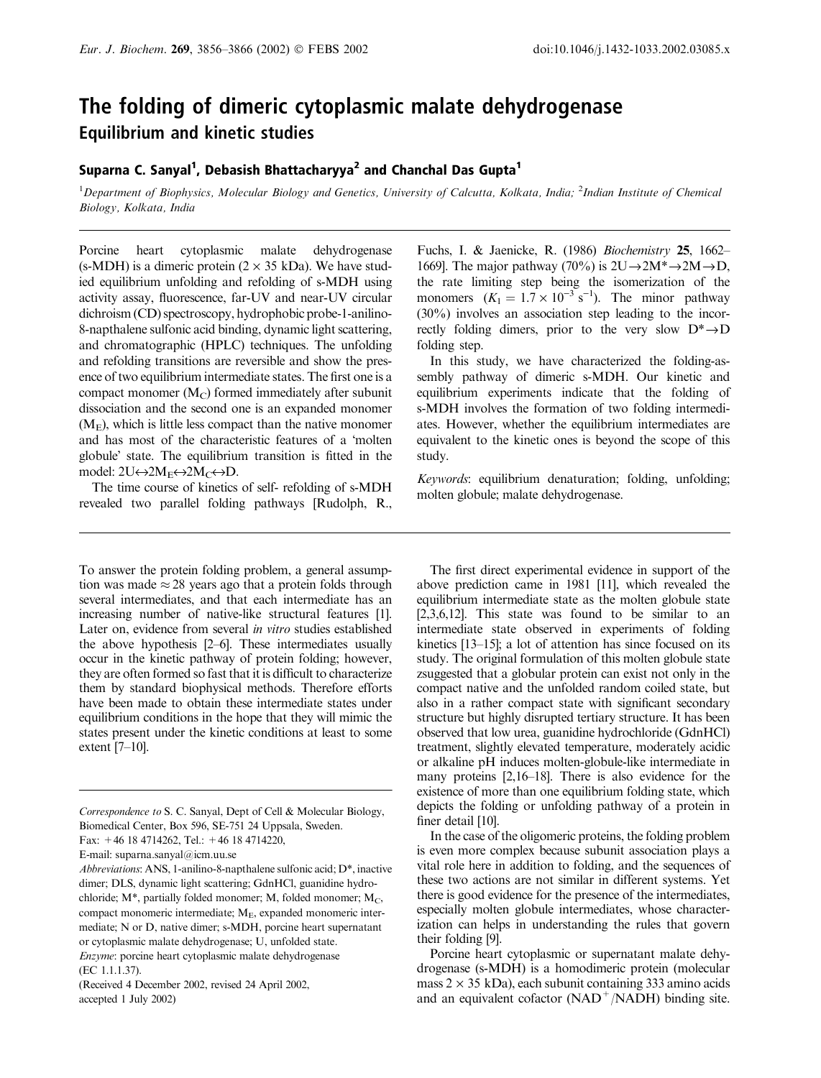# The folding of dimeric cytoplasmic malate dehydrogenase Equilibrium and kinetic studies

# Suparna C. Sanyal<sup>1</sup>, Debasish Bhattacharyya<sup>2</sup> and Chanchal Das Gupta<sup>1</sup>

<sup>1</sup>Department of Biophysics, Molecular Biology and Genetics, University of Calcutta, Kolkata, India; <sup>2</sup>Indian Institute of Chemical Biology, Kolkata, India

Porcine heart cytoplasmic malate dehydrogenase (s-MDH) is a dimeric protein  $(2 \times 35 \text{ kDa})$ . We have studied equilibrium unfolding and refolding of s-MDH using activity assay, fluorescence, far-UV and near-UV circular dichroism (CD) spectroscopy, hydrophobic probe-1-anilino-8-napthalene sulfonic acid binding, dynamic light scattering, and chromatographic (HPLC) techniques. The unfolding and refolding transitions are reversible and show the presence of two equilibrium intermediate states. The first one is a compact monomer  $(M_C)$  formed immediately after subunit dissociation and the second one is an expanded monomer  $(M<sub>E</sub>)$ , which is little less compact than the native monomer and has most of the characteristic features of a 'molten globule' state. The equilibrium transition is fitted in the model:  $2U \leftrightarrow 2M_E \leftrightarrow 2M_C \leftrightarrow D$ .

The time course of kinetics of self- refolding of s-MDH revealed two parallel folding pathways [Rudolph, R.,

To answer the protein folding problem, a general assumption was made  $\approx$  28 years ago that a protein folds through several intermediates, and that each intermediate has an increasing number of native-like structural features [1]. Later on, evidence from several in vitro studies established the above hypothesis [2–6]. These intermediates usually occur in the kinetic pathway of protein folding; however, they are often formed so fast that it is difficult to characterize them by standard biophysical methods. Therefore efforts have been made to obtain these intermediate states under equilibrium conditions in the hope that they will mimic the states present under the kinetic conditions at least to some extent [7–10].

Correspondence to S. C. Sanyal, Dept of Cell & Molecular Biology, Biomedical Center, Box 596, SE-751 24 Uppsala, Sweden. Fax: +46 18 4714262, Tel.: +46 18 4714220,

E-mail: suparna.sanyal@icm.uu.se

Abbreviations: ANS, 1-anilino-8-napthalene sulfonic acid; D\*, inactive dimer; DLS, dynamic light scattering; GdnHCl, guanidine hydrochloride;  $M^*$ , partially folded monomer; M, folded monomer;  $M_C$ , compact monomeric intermediate;  $M<sub>E</sub>$ , expanded monomeric intermediate; N or D, native dimer; s-MDH, porcine heart supernatant or cytoplasmic malate dehydrogenase; U, unfolded state. Enzyme: porcine heart cytoplasmic malate dehydrogenase (EC 1.1.1.37).

(Received 4 December 2002, revised 24 April 2002, accepted 1 July 2002)

Fuchs, I. & Jaenicke, R. (1986) Biochemistry 25, 1662– 1669]. The major pathway (70%) is  $2U \rightarrow 2M^* \rightarrow 2M \rightarrow D$ , the rate limiting step being the isomerization of the monomers  $(K_1 = 1.7 \times 10^{-3} \text{ s}^{-1})$ . The minor pathway (30%) involves an association step leading to the incorrectly folding dimers, prior to the very slow  $D^*{\rightarrow}D$ folding step.

In this study, we have characterized the folding-assembly pathway of dimeric s-MDH. Our kinetic and equilibrium experiments indicate that the folding of s-MDH involves the formation of two folding intermediates. However, whether the equilibrium intermediates are equivalent to the kinetic ones is beyond the scope of this study.

Keywords: equilibrium denaturation; folding, unfolding; molten globule; malate dehydrogenase.

The first direct experimental evidence in support of the above prediction came in 1981 [11], which revealed the equilibrium intermediate state as the molten globule state [2,3,6,12]. This state was found to be similar to an intermediate state observed in experiments of folding kinetics [13–15]; a lot of attention has since focused on its study. The original formulation of this molten globule state zsuggested that a globular protein can exist not only in the compact native and the unfolded random coiled state, but also in a rather compact state with significant secondary structure but highly disrupted tertiary structure. It has been observed that low urea, guanidine hydrochloride (GdnHCl) treatment, slightly elevated temperature, moderately acidic or alkaline pH induces molten-globule-like intermediate in many proteins [2,16–18]. There is also evidence for the existence of more than one equilibrium folding state, which depicts the folding or unfolding pathway of a protein in finer detail [10].

In the case of the oligomeric proteins, the folding problem is even more complex because subunit association plays a vital role here in addition to folding, and the sequences of these two actions are not similar in different systems. Yet there is good evidence for the presence of the intermediates, especially molten globule intermediates, whose characterization can helps in understanding the rules that govern their folding [9].

Porcine heart cytoplasmic or supernatant malate dehydrogenase (s-MDH) is a homodimeric protein (molecular mass  $2 \times 35$  kDa), each subunit containing 333 amino acids and an equivalent cofactor  $(NAD<sup>+</sup>/NADH)$  binding site.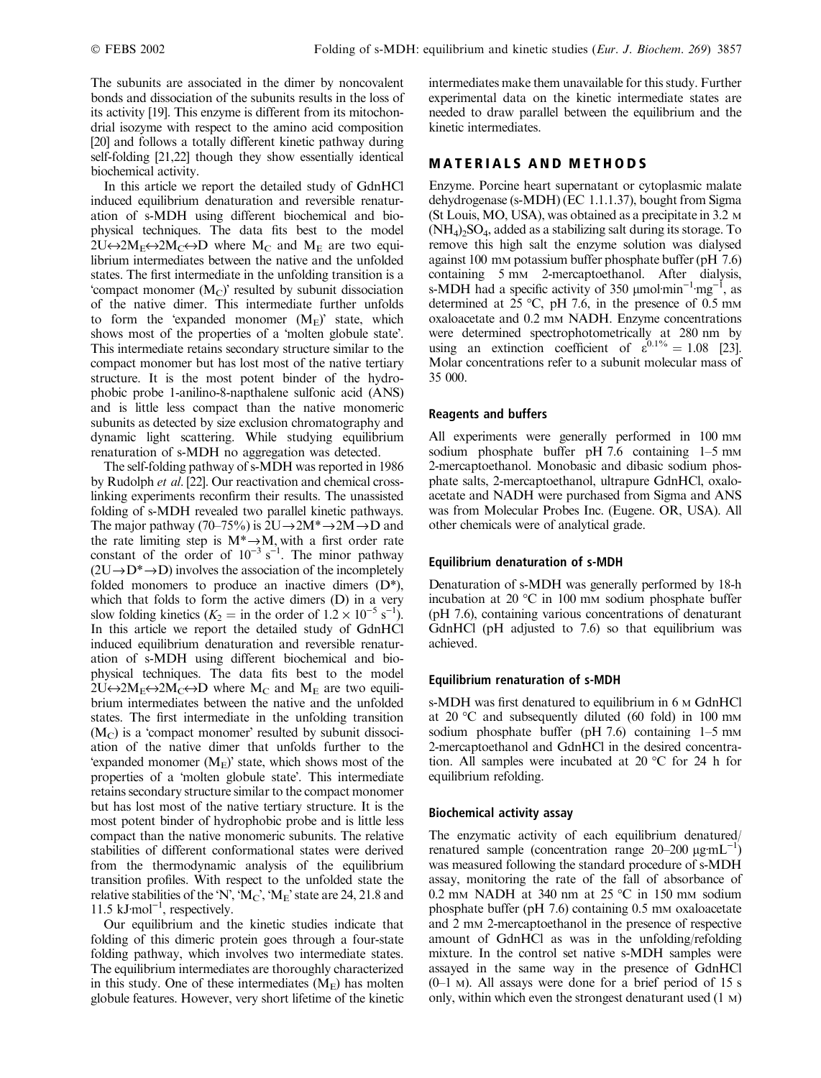The subunits are associated in the dimer by noncovalent bonds and dissociation of the subunits results in the loss of its activity [19]. This enzyme is different from its mitochondrial isozyme with respect to the amino acid composition [20] and follows a totally different kinetic pathway during self-folding [21,22] though they show essentially identical biochemical activity.

In this article we report the detailed study of GdnHCl induced equilibrium denaturation and reversible renaturation of s-MDH using different biochemical and biophysical techniques. The data fits best to the model  $2U \leftrightarrow 2M_E \leftrightarrow 2M_C \leftrightarrow D$  where  $M_C$  and  $M_E$  are two equilibrium intermediates between the native and the unfolded states. The first intermediate in the unfolding transition is a 'compact monomer  $(M_C)$ ' resulted by subunit dissociation of the native dimer. This intermediate further unfolds to form the 'expanded monomer  $(M_E)$ ' state, which shows most of the properties of a 'molten globule state'. This intermediate retains secondary structure similar to the compact monomer but has lost most of the native tertiary structure. It is the most potent binder of the hydrophobic probe 1-anilino-8-napthalene sulfonic acid (ANS) and is little less compact than the native monomeric subunits as detected by size exclusion chromatography and dynamic light scattering. While studying equilibrium renaturation of s-MDH no aggregation was detected.

The self-folding pathway of s-MDH was reported in 1986 by Rudolph et al. [22]. Our reactivation and chemical crosslinking experiments reconfirm their results. The unassisted folding of s-MDH revealed two parallel kinetic pathways. The major pathway (70–75%) is  $2U\rightarrow 2M^* \rightarrow 2M \rightarrow D$  and the rate limiting step is  $M^* \rightarrow M$ , with a first order rate constant of the order of  $10^{-3}$  s<sup>-1</sup>. The minor pathway  $(2U\rightarrow D^*\rightarrow D)$  involves the association of the incompletely folded monomers to produce an inactive dimers  $(D^*),$ which that folds to form the active dimers (D) in a very slow folding kinetics ( $K_2 =$  in the order of  $1.2 \times 10^{-5}$  s<sup>-1</sup>). In this article we report the detailed study of GdnHCl induced equilibrium denaturation and reversible renaturation of s-MDH using different biochemical and biophysical techniques. The data fits best to the model  $2U \leftrightarrow 2M_E \leftrightarrow 2M_C \leftrightarrow D$  where  $M_C$  and  $M_E$  are two equilibrium intermediates between the native and the unfolded states. The first intermediate in the unfolding transition  $(M<sub>C</sub>)$  is a 'compact monomer' resulted by subunit dissociation of the native dimer that unfolds further to the 'expanded monomer  $(M_E)$ ' state, which shows most of the properties of a 'molten globule state'. This intermediate retains secondary structure similar to the compact monomer but has lost most of the native tertiary structure. It is the most potent binder of hydrophobic probe and is little less compact than the native monomeric subunits. The relative stabilities of different conformational states were derived from the thermodynamic analysis of the equilibrium transition profiles. With respect to the unfolded state the relative stabilities of the 'N', 'M<sub>C</sub>', 'M<sub>E</sub>' state are 24, 21.8 and  $11.5 \text{ kJ·mol}^{-1}$ , respectively.

Our equilibrium and the kinetic studies indicate that folding of this dimeric protein goes through a four-state folding pathway, which involves two intermediate states. The equilibrium intermediates are thoroughly characterized in this study. One of these intermediates  $(M_F)$  has molten globule features. However, very short lifetime of the kinetic

intermediates make them unavailable for this study. Further experimental data on the kinetic intermediate states are needed to draw parallel between the equilibrium and the kinetic intermediates.

# MATERIALS AND METHODS

Enzyme. Porcine heart supernatant or cytoplasmic malate dehydrogenase (s-MDH) (EC 1.1.1.37), bought from Sigma (St Louis, MO, USA), was obtained as a precipitate in 3.2 M  $(NH_4)$ <sub>2</sub>SO<sub>4</sub>, added as a stabilizing salt during its storage. To remove this high salt the enzyme solution was dialysed against 100 mM potassium buffer phosphate buffer (pH 7.6) containing 5 mM 2-mercaptoethanol. After dialysis, s-MDH had a specific activity of 350  $\mu$ mol·min<sup>-1</sup>·mg<sup>-1</sup>, as determined at  $25 \text{ °C}$ , pH 7.6, in the presence of 0.5 mm oxaloacetate and 0.2 mM NADH. Enzyme concentrations were determined spectrophotometrically at 280 nm by using an extinction coefficient of  $\varepsilon^{0.1\%} = 1.08$  [23]. Molar concentrations refer to a subunit molecular mass of 35 000.

## Reagents and buffers

All experiments were generally performed in 100 mm sodium phosphate buffer pH 7.6 containing 1-5 mm 2-mercaptoethanol. Monobasic and dibasic sodium phosphate salts, 2-mercaptoethanol, ultrapure GdnHCl, oxaloacetate and NADH were purchased from Sigma and ANS was from Molecular Probes Inc. (Eugene. OR, USA). All other chemicals were of analytical grade.

## Equilibrium denaturation of s-MDH

Denaturation of s-MDH was generally performed by 18-h incubation at 20  $\degree$ C in 100 mm sodium phosphate buffer (pH 7.6), containing various concentrations of denaturant GdnHCl (pH adjusted to 7.6) so that equilibrium was achieved.

#### Equilibrium renaturation of s-MDH

s-MDH was first denatured to equilibrium in 6 M GdnHCl at 20  $\degree$ C and subsequently diluted (60 fold) in 100 mm sodium phosphate buffer (pH  $7.6$ ) containing  $1-5$  mm 2-mercaptoethanol and GdnHCl in the desired concentration. All samples were incubated at 20  $^{\circ}$ C for 24 h for equilibrium refolding.

#### Biochemical activity assay

The enzymatic activity of each equilibrium denatured/ renatured sample (concentration range  $20-200 \mu g m L^{-1}$ ) was measured following the standard procedure of s-MDH assay, monitoring the rate of the fall of absorbance of 0.2 mm NADH at 340 nm at  $25^{\circ}$ C in 150 mm sodium phosphate buffer (pH 7.6) containing 0.5 mm oxaloacetate and 2 mm 2-mercaptoethanol in the presence of respective amount of GdnHCl as was in the unfolding/refolding mixture. In the control set native s-MDH samples were assayed in the same way in the presence of GdnHCl  $(0-1)$  M). All assays were done for a brief period of 15 s only, within which even the strongest denaturant used (1 M)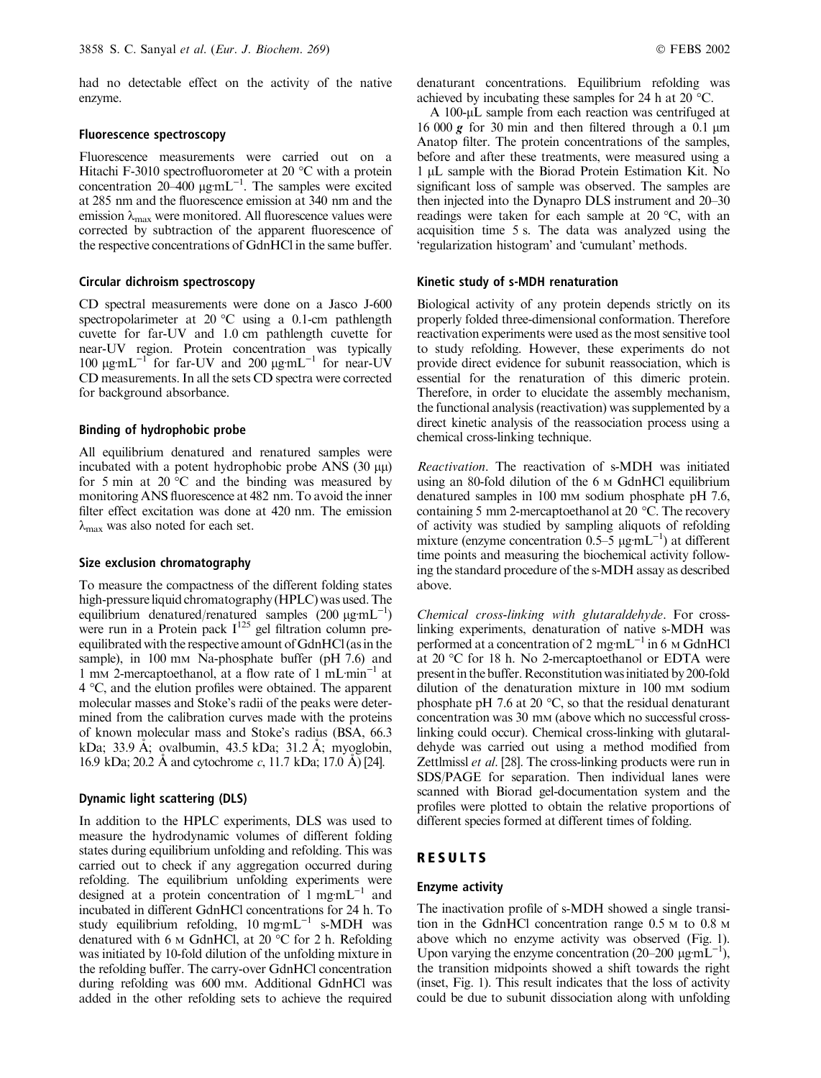had no detectable effect on the activity of the native enzyme.

#### Fluorescence spectroscopy

Fluorescence measurements were carried out on a Hitachi F-3010 spectrofluorometer at 20  $^{\circ}$ C with a protein concentration  $20-400 \mu$ g·mL<sup>-1</sup>. The samples were excited at 285 nm and the fluorescence emission at 340 nm and the emission  $\lambda_{\text{max}}$  were monitored. All fluorescence values were corrected by subtraction of the apparent fluorescence of the respective concentrations of GdnHCl in the same buffer.

## Circular dichroism spectroscopy

CD spectral measurements were done on a Jasco J-600 spectropolarimeter at  $20^{\circ}$ C using a 0.1-cm pathlength cuvette for far-UV and 1.0 cm pathlength cuvette for near-UV region. Protein concentration was typically 100  $\mu$ gmL<sup>-1</sup> for far-UV and 200  $\mu$ gmL<sup>-1</sup> for near-UV CD measurements. In all the sets CD spectra were corrected for background absorbance.

#### Binding of hydrophobic probe

All equilibrium denatured and renatured samples were incubated with a potent hydrophobic probe ANS  $(30 \mu\mu)$ for 5 min at 20 $\degree$ C and the binding was measured by monitoring ANS fluorescence at 482 nm. To avoid the inner filter effect excitation was done at 420 nm. The emission  $\lambda_{\text{max}}$  was also noted for each set.

#### Size exclusion chromatography

To measure the compactness of the different folding states high-pressure liquid chromatography (HPLC) was used. The equilibrium denatured/renatured samples  $(200 \mu g m L^{-1})$ were run in a Protein pack  $I^{125}$  gel filtration column preequilibrated with the respective amount of GdnHCl (as in the sample), in 100 mm Na-phosphate buffer (pH 7.6) and 1 mm 2-mercaptoethanol, at a flow rate of 1 mL $min^{-1}$  at  $4^{\circ}$ C, and the elution profiles were obtained. The apparent molecular masses and Stoke's radii of the peaks were determined from the calibration curves made with the proteins of known molecular mass and Stoke's radius (BSA, 66.3 kDa; 33.9 Å; ovalbumin, 43.5 kDa; 31.2 Å; myoglobin, 16.9 kDa; 20.2 Å and cytochrome  $c$ , 11.7 kDa; 17.0 Å) [24].

## Dynamic light scattering (DLS)

In addition to the HPLC experiments, DLS was used to measure the hydrodynamic volumes of different folding states during equilibrium unfolding and refolding. This was carried out to check if any aggregation occurred during refolding. The equilibrium unfolding experiments were designed at a protein concentration of  $1 \text{ mgm}L^{-1}$  and incubated in different GdnHCl concentrations for 24 h. To study equilibrium refolding,  $10 \text{ mg} \text{mL}^{-1}$  s-MDH was denatured with 6  $M$  GdnHCl, at 20 °C for 2 h. Refolding was initiated by 10-fold dilution of the unfolding mixture in the refolding buffer. The carry-over GdnHCl concentration during refolding was 600 mM. Additional GdnHCl was added in the other refolding sets to achieve the required denaturant concentrations. Equilibrium refolding was achieved by incubating these samples for 24 h at 20  $^{\circ}$ C.

A 100-µL sample from each reaction was centrifuged at 16 000 g for 30 min and then filtered through a 0.1  $\mu$ m Anatop filter. The protein concentrations of the samples, before and after these treatments, were measured using a 1 µL sample with the Biorad Protein Estimation Kit. No significant loss of sample was observed. The samples are then injected into the Dynapro DLS instrument and 20–30 readings were taken for each sample at  $20^{\circ}$ C, with an acquisition time 5 s. The data was analyzed using the 'regularization histogram' and 'cumulant' methods.

#### Kinetic study of s-MDH renaturation

Biological activity of any protein depends strictly on its properly folded three-dimensional conformation. Therefore reactivation experiments were used as the most sensitive tool to study refolding. However, these experiments do not provide direct evidence for subunit reassociation, which is essential for the renaturation of this dimeric protein. Therefore, in order to elucidate the assembly mechanism, the functional analysis (reactivation) was supplemented by a direct kinetic analysis of the reassociation process using a chemical cross-linking technique.

Reactivation. The reactivation of s-MDH was initiated using an 80-fold dilution of the 6 M GdnHCl equilibrium denatured samples in 100 mm sodium phosphate pH 7.6, containing 5 mm 2-mercaptoethanol at 20 °C. The recovery of activity was studied by sampling aliquots of refolding mixture (enzyme concentration  $0.5-5 \mu g \text{mL}^{-1}$ ) at different time points and measuring the biochemical activity following the standard procedure of the s-MDH assay as described above.

Chemical cross-linking with glutaraldehyde. For crosslinking experiments, denaturation of native s-MDH was performed at a concentration of 2 mg·mL<sup> $-1$ </sup> in 6 M GdnHCl at 20  $\degree$ C for 18 h. No 2-mercaptoethanol or EDTA were presentin the buffer.Reconstitution wasinitiated by 200-fold dilution of the denaturation mixture in 100 mm sodium phosphate pH 7.6 at 20  $\degree$ C, so that the residual denaturant concentration was 30 mm (above which no successful crosslinking could occur). Chemical cross-linking with glutaraldehyde was carried out using a method modified from Zettlmissl et al. [28]. The cross-linking products were run in SDS/PAGE for separation. Then individual lanes were scanned with Biorad gel-documentation system and the profiles were plotted to obtain the relative proportions of different species formed at different times of folding.

## RESULTS

#### Enzyme activity

The inactivation profile of s-MDH showed a single transition in the GdnHCl concentration range 0.5 M to 0.8 M above which no enzyme activity was observed (Fig. 1). Upon varying the enzyme concentration (20–200  $\mu$ g·mL<sup>-1</sup>), the transition midpoints showed a shift towards the right (inset, Fig. 1). This result indicates that the loss of activity could be due to subunit dissociation along with unfolding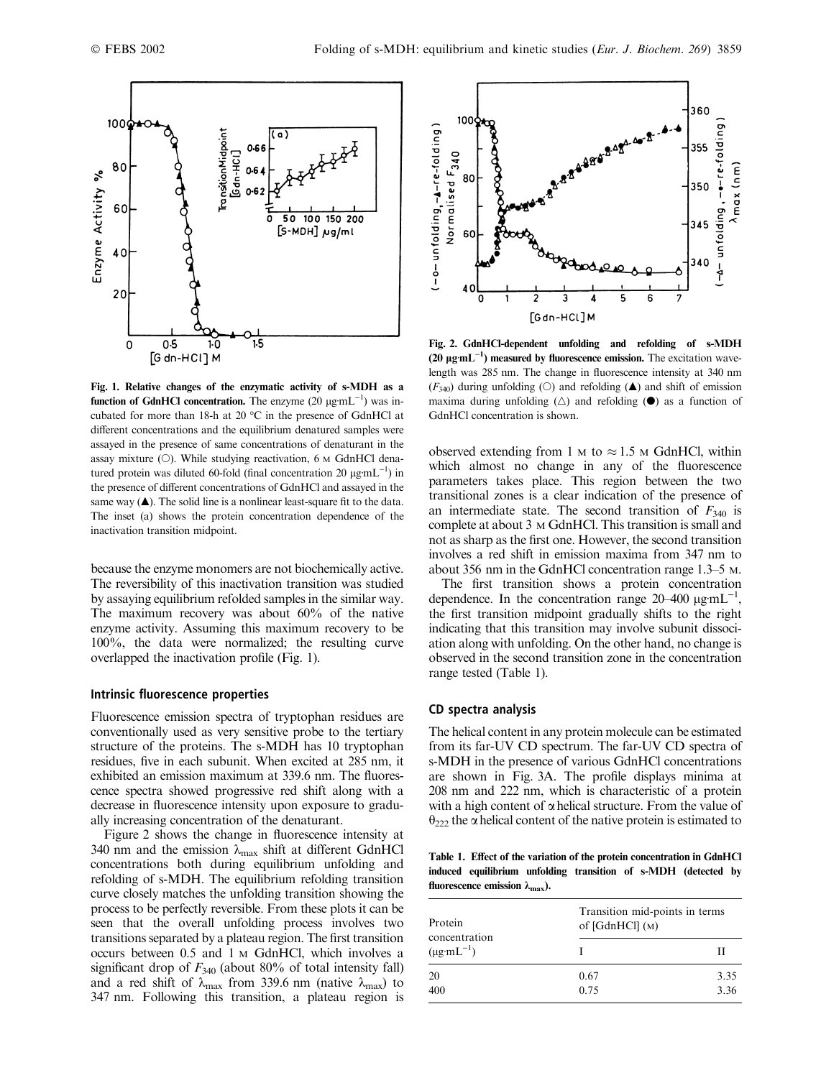

Fig. 1. Relative changes of the enzymatic activity of s-MDH as a function of GdnHCl concentration. The enzyme  $(20 \mu g \text{mL}^{-1})$  was incubated for more than 18-h at 20  $^{\circ}$ C in the presence of GdnHCl at different concentrations and the equilibrium denatured samples were assayed in the presence of same concentrations of denaturant in the assay mixture  $(O)$ . While studying reactivation, 6 M GdnHCl denatured protein was diluted 60-fold (final concentration 20  $\mu$ g·mL<sup>-1</sup>) in the presence of different concentrations of GdnHCl and assayed in the same way  $(\triangle)$ . The solid line is a nonlinear least-square fit to the data. The inset (a) shows the protein concentration dependence of the inactivation transition midpoint.

because the enzyme monomers are not biochemically active. The reversibility of this inactivation transition was studied by assaying equilibrium refolded samples in the similar way. The maximum recovery was about 60% of the native enzyme activity. Assuming this maximum recovery to be 100%, the data were normalized; the resulting curve overlapped the inactivation profile (Fig. 1).

## Intrinsic fluorescence properties

Fluorescence emission spectra of tryptophan residues are conventionally used as very sensitive probe to the tertiary structure of the proteins. The s-MDH has 10 tryptophan residues, five in each subunit. When excited at 285 nm, it exhibited an emission maximum at 339.6 nm. The fluorescence spectra showed progressive red shift along with a decrease in fluorescence intensity upon exposure to gradually increasing concentration of the denaturant.

Figure 2 shows the change in fluorescence intensity at 340 nm and the emission  $\lambda_{\text{max}}$  shift at different GdnHCl concentrations both during equilibrium unfolding and refolding of s-MDH. The equilibrium refolding transition curve closely matches the unfolding transition showing the process to be perfectly reversible. From these plots it can be seen that the overall unfolding process involves two transitions separated by a plateauregion. The first transition occurs between 0.5 and 1 M GdnHCl, which involves a significant drop of  $F_{340}$  (about 80% of total intensity fall) and a red shift of  $\lambda_{\text{max}}$  from 339.6 nm (native  $\lambda_{\text{max}}$ ) to 347 nm. Following this transition, a plateau region is



Fig. 2. GdnHCl-dependent unfolding and refolding of s-MDH (20  $\mu$ g·mL<sup>-1</sup>) measured by fluorescence emission. The excitation wavelength was 285 nm. The change in fluorescence intensity at 340 nm  $(F_{340})$  during unfolding (O) and refolding ( $\triangle$ ) and shift of emission maxima during unfolding  $(\triangle)$  and refolding  $(\triangle)$  as a function of GdnHCl concentration is shown.

observed extending from 1  $\mu$  to  $\approx$  1.5  $\mu$  GdnHCl, within which almost no change in any of the fluorescence parameters takes place. This region between the two transitional zones is a clear indication of the presence of an intermediate state. The second transition of  $F_{340}$  is complete at about 3  $M$  GdnHCl. This transition is small and not as sharp as the first one. However, the second transition involves a red shift in emission maxima from 347 nm to about 356 nm in the GdnHCl concentration range 1.3–5 M.

The first transition shows a protein concentration dependence. In the concentration range  $20-400 \mu g \text{mL}^{-1}$ , the first transition midpoint gradually shifts to the right indicating that this transition may involve subunit dissociation along with unfolding. On the other hand, no change is observed in the second transition zone in the concentration range tested (Table 1).

#### CD spectra analysis

The helical content in any protein molecule can be estimated from its far-UV CD spectrum. The far-UV CD spectra of s-MDH in the presence of various GdnHCl concentrations are shown in Fig. 3A. The profile displays minima at 208 nm and 222 nm, which is characteristic of a protein with a high content of  $\alpha$  helical structure. From the value of  $\theta_{222}$  the  $\alpha$  helical content of the native protein is estimated to

Table 1. Effect of the variation of the protein concentration in GdnHCl induced equilibrium unfolding transition of s-MDH (detected by fluorescence emission  $\lambda_{\text{max}}$ ).

| Protein                 | Transition mid-points in terms |      |  |
|-------------------------|--------------------------------|------|--|
| concentration           | of $[GdnHCl] (M)$              |      |  |
| $(\mu g \cdot mL^{-1})$ |                                | Н    |  |
| 20                      | 0.67                           | 3.35 |  |
| 400                     | 0.75                           | 3.36 |  |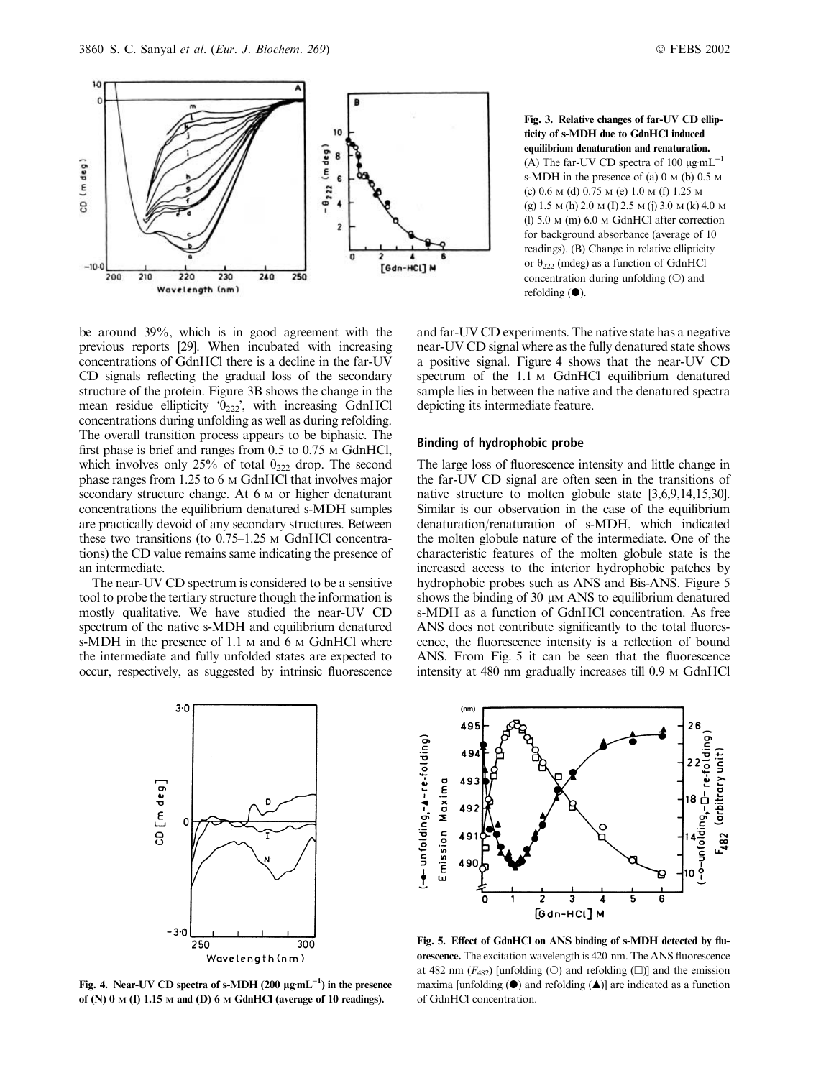

Fig. 3. Relative changes of far-UV CD ellipticity of s-MDH due to GdnHCl induced equilibrium denaturation and renaturation. (A) The far-UV CD spectra of 100  $\mu$ g·mL<sup>-1</sup> s-MDH in the presence of (a) 0 M (b) 0.5 M (c) 0.6 M (d) 0.75 M (e) 1.0 M (f) 1.25 M (g) 1.5 M (h) 2.0 M (I) 2.5 M (j) 3.0 M (k) 4.0 M (l) 5.0 M (m) 6.0 M GdnHCl after correction for background absorbance (average of 10 readings). (B) Change in relative ellipticity or  $\theta_{222}$  (mdeg) as a function of GdnHCl concentration during unfolding  $(O)$  and refolding  $(①)$ .

be around 39%, which is in good agreement with the previous reports [29]. When incubated with increasing concentrations of GdnHCl there is a decline in the far-UV CD signals reflecting the gradual loss of the secondary structure of the protein. Figure 3B shows the change in the mean residue ellipticity  $\theta_{222}$ , with increasing GdnHCl concentrations during unfolding as well as during refolding. The overall transition process appears to be biphasic. The first phase is brief and ranges from 0.5 to 0.75  $\text{M }$  GdnHCl, which involves only 25% of total  $\theta_{222}$  drop. The second phase ranges from 1.25 to 6 M GdnHCl that involves major secondary structure change. At 6 M or higher denaturant concentrations the equilibrium denatured s-MDH samples are practically devoid of any secondary structures. Between these two transitions (to 0.75–1.25 M GdnHCl concentrations) the CD value remains same indicating the presence of an intermediate.

The near-UV CD spectrum is considered to be a sensitive tool to probe the tertiary structure though the information is mostly qualitative. We have studied the near-UV CD spectrum of the native s-MDH and equilibrium denatured s-MDH in the presence of 1.1 M and 6 M GdnHCl where the intermediate and fully unfolded states are expected to occur, respectively, as suggested by intrinsic fluorescence

and far-UV CD experiments. The native state has a negative near-UV CD signal where as the fully denatured state shows a positive signal. Figure 4 shows that the near-UV CD spectrum of the 1.1 M GdnHCl equilibrium denatured sample lies in between the native and the denatured spectra depicting its intermediate feature.

## Binding of hydrophobic probe

The large loss of fluorescence intensity and little change in the far-UV CD signal are often seen in the transitions of native structure to molten globule state [3,6,9,14,15,30]. Similar is our observation in the case of the equilibrium denaturation/renaturation of s-MDH, which indicated the molten globule nature of the intermediate. One of the characteristic features of the molten globule state is the increased access to the interior hydrophobic patches by hydrophobic probes such as ANS and Bis-ANS. Figure 5 shows the binding of  $30 \mu M$  ANS to equilibrium denatured s-MDH as a function of GdnHCl concentration. As free ANS does not contribute significantly to the total fluorescence, the fluorescence intensity is a reflection of bound ANS. From Fig. 5 it can be seen that the fluorescence intensity at 480 nm gradually increases till 0.9 M GdnHCl



Fig. 4. Near-UV CD spectra of s-MDH (200  $\mu$ g·mL<sup>-1</sup>) in the presence of (N)  $0 \text{ M}$  (I) 1.15 M and (D) 6 M GdnHCl (average of 10 readings).



Fig. 5. Effect of GdnHCl on ANS binding of s-MDH detected by fluorescence. The excitation wavelength is 420 nm. The ANS fluorescence at 482 nm  $(F_{482})$  [unfolding (O) and refolding ( $\square$ )] and the emission maxima [unfolding  $(\bullet)$  and refolding  $(\bullet)$ ] are indicated as a function of GdnHCl concentration.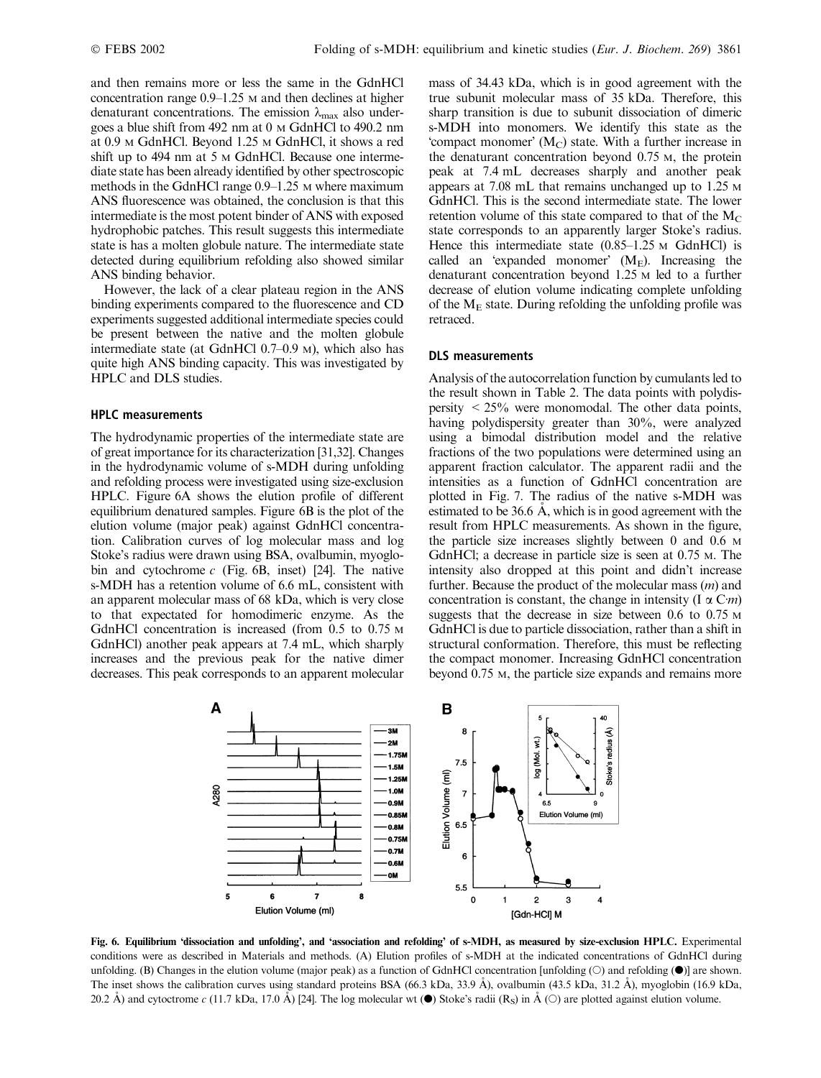and then remains more or less the same in the GdnHCl concentration range 0.9–1.25 M and then declines at higher denaturant concentrations. The emission  $\lambda_{\text{max}}$  also undergoes a blue shift from 492 nm at 0 M GdnHCl to 490.2 nm at 0.9 M GdnHCl. Beyond 1.25 M GdnHCl, it shows a red shift up to 494 nm at 5  $\mu$  GdnHCl. Because one intermediate state has been already identified by other spectroscopic methods in the GdnHCl range  $0.9-1.25$  M where maximum ANS fluorescence was obtained, the conclusion is that this intermediate is the most potent binder of ANS with exposed hydrophobic patches. This result suggests this intermediate state is has a molten globule nature. The intermediate state detected during equilibrium refolding also showed similar ANS binding behavior.

However, the lack of a clear plateau region in the ANS binding experiments compared to the fluorescence and CD experiments suggested additional intermediate species could be present between the native and the molten globule intermediate state (at GdnHCl 0.7–0.9 M), which also has quite high ANS binding capacity. This was investigated by HPLC and DLS studies.

## HPLC measurements

The hydrodynamic properties of the intermediate state are of great importance for its characterization [31,32]. Changes in the hydrodynamic volume of s-MDH during unfolding and refolding process were investigated using size-exclusion HPLC. Figure 6A shows the elution profile of different equilibrium denatured samples. Figure 6B is the plot of the elution volume (major peak) against GdnHCl concentration. Calibration curves of log molecular mass and log Stoke's radius were drawn using BSA, ovalbumin, myoglobin and cytochrome  $c$  (Fig. 6B, inset) [24]. The native s-MDH has a retention volume of 6.6 mL, consistent with an apparent molecular mass of 68 kDa, which is very close to that expectated for homodimeric enzyme. As the GdnHCl concentration is increased (from 0.5 to 0.75 м GdnHCl) another peak appears at 7.4 mL, which sharply increases and the previous peak for the native dimer decreases. This peak corresponds to an apparent molecular mass of 34.43 kDa, which is in good agreement with the true subunit molecular mass of 35 kDa. Therefore, this sharp transition is due to subunit dissociation of dimeric s-MDH into monomers. We identify this state as the 'compact monomer'  $(M_C)$  state. With a further increase in the denaturant concentration beyond 0.75 M, the protein peak at 7.4 mL decreases sharply and another peak appears at 7.08 mL that remains unchanged up to 1.25 M GdnHCl. This is the second intermediate state. The lower retention volume of this state compared to that of the  $M<sub>C</sub>$ state corresponds to an apparently larger Stoke's radius. Hence this intermediate state  $(0.85-1.25 \text{ m } \text{GdnHC})$  is called an 'expanded monomer'  $(M_E)$ . Increasing the denaturant concentration beyond 1.25 M led to a further decrease of elution volume indicating complete unfolding of the  $M_F$  state. During refolding the unfolding profile was retraced.

## DLS measurements

Analysis of the autocorrelation function by cumulants led to the result shown in Table 2. The data points with polydispersity  $\lt 25\%$  were monomodal. The other data points, having polydispersity greater than 30%, were analyzed using a bimodal distribution model and the relative fractions of the two populations were determined using an apparent fraction calculator. The apparent radii and the intensities as a function of GdnHCl concentration are plotted in Fig. 7. The radius of the native s-MDH was estimated to be  $36.6$  Å, which is in good agreement with the result from HPLC measurements. As shown in the figure, the particle size increases slightly between 0 and 0.6 M GdnHCl; a decrease in particle size is seen at 0.75 M. The intensity also dropped at this point and didn't increase further. Because the product of the molecular mass  $(m)$  and concentration is constant, the change in intensity (I  $\alpha$  C*m*) suggests that the decrease in size between 0.6 to 0.75 M GdnHCl is due to particle dissociation, rather than a shift in structural conformation. Therefore, this must be reflecting the compact monomer. Increasing GdnHCl concentration beyond 0.75 M, the particle size expands and remains more



Fig. 6. Equilibrium 'dissociation and unfolding', and 'association and refolding' of s-MDH, as measured by size-exclusion HPLC. Experimental conditions were as described in Materials and methods. (A) Elution profiles of s-MDH at the indicated concentrations of GdnHCl during unfolding. (B) Changes in the elution volume (major peak) as a function of GdnHCl concentration [unfolding  $(O)$  and refolding  $(O)$ ] are shown. The inset shows the calibration curves using standard proteins BSA (66.3 kDa, 33.9 Å), ovalbumin (43.5 kDa, 31.2 Å), myoglobin (16.9 kDa, 20.2 Å) and cytoctrome c (11.7 kDa, 17.0 Å) [24]. The log molecular wt ( $\bullet$ ) Stoke's radii (R<sub>S</sub>) in Å (O) are plotted against elution volume.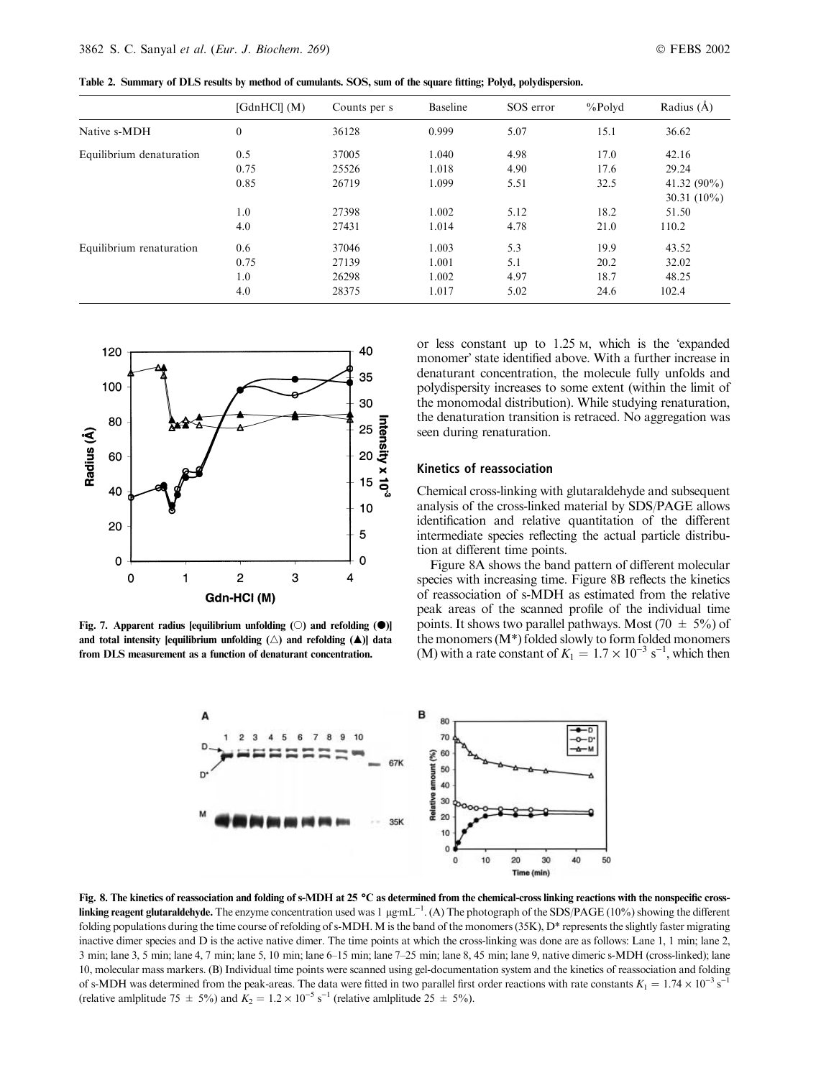Table 2. Summary of DLS results by method of cumulants. SOS, sum of the square fitting; Polyd, polydispersion.

|                          | [GdnHCl] (M)     | Counts per s | Baseline | SOS error | $%$ Polyd | Radius $(\AA)$ |
|--------------------------|------------------|--------------|----------|-----------|-----------|----------------|
| Native s-MDH             | $\boldsymbol{0}$ | 36128        | 0.999    | 5.07      | 15.1      | 36.62          |
| Equilibrium denaturation | 0.5              | 37005        | 1.040    | 4.98      | 17.0      | 42.16          |
|                          | 0.75             | 25526        | 1.018    | 4.90      | 17.6      | 29.24          |
|                          | 0.85             | 26719        | 1.099    | 5.51      | 32.5      | 41.32 $(90\%)$ |
|                          |                  |              |          |           |           | 30.31 $(10\%)$ |
|                          | 1.0              | 27398        | 1.002    | 5.12      | 18.2      | 51.50          |
|                          | 4.0              | 27431        | 1.014    | 4.78      | 21.0      | 110.2          |
| Equilibrium renaturation | 0.6              | 37046        | 1.003    | 5.3       | 19.9      | 43.52          |
|                          | 0.75             | 27139        | 1.001    | 5.1       | 20.2      | 32.02          |
|                          | 1.0              | 26298        | 1.002    | 4.97      | 18.7      | 48.25          |
|                          | 4.0              | 28375        | 1.017    | 5.02      | 24.6      | 102.4          |



Fig. 7. Apparent radius [equilibrium unfolding  $(\bigcirc)$  and refolding  $(\bigcirc)$ ] and total intensity [equilibrium unfolding  $(\triangle)$  and refolding  $(\triangle)$ ] data from DLS measurement as a function of denaturant concentration.

or less constant up to  $1.25$  M, which is the 'expanded monomer' state identified above. With a further increase in denaturant concentration, the molecule fully unfolds and polydispersity increases to some extent (within the limit of the monomodal distribution). While studying renaturation, the denaturation transition is retraced. No aggregation was seen during renaturation.

#### Kinetics of reassociation

Chemical cross-linking with glutaraldehyde and subsequent analysis of the cross-linked material by SDS/PAGE allows identification and relative quantitation of the different intermediate species reflecting the actual particle distribution at different time points.

Figure 8A shows the band pattern of different molecular species with increasing time. Figure 8B reflects the kinetics of reassociation of s-MDH as estimated from the relative peak areas of the scanned profile of the individual time points. It shows two parallel pathways. Most (70  $\pm$  5%) of the monomers (M\*) folded slowly to form folded monomers (M) with a rate constant of  $K_1 = 1.7 \times 10^{-3} \text{ s}^{-1}$ , which then



Fig. 8. The kinetics of reassociation and folding of s-MDH at 25 °C as determined from the chemical-cross linking reactions with the nonspecific cross**linking reagent glutaraldehyde.** The enzyme concentration used was 1  $\mu$ gmL<sup>-1</sup>. (A) The photograph of the SDS/PAGE (10%) showing the different folding populations during the time course of refolding of s-MDH. M is the band of the monomers (35K), D\* represents the slightly faster migrating inactive dimer species and D is the active native dimer. The time points at which the cross-linking was done are as follows: Lane 1, 1 min; lane 2, 3 min; lane 3, 5 min; lane 4, 7 min; lane 5, 10 min; lane 6–15 min; lane 7–25 min; lane 8, 45 min; lane 9, native dimeric s-MDH (cross-linked); lane 10, molecular mass markers. (B) Individual time points were scanned using gel-documentation system and the kinetics of reassociation and folding of s-MDH was determined from the peak-areas. The data were fitted in two parallel first order reactions with rate constants  $K_1 = 1.74 \times 10^{-3} \text{ s}^{-1}$ (relative amlplitude 75  $\pm$  5%) and  $K_2 = 1.2 \times 10^{-5} \text{ s}^{-1}$  (relative amlplitude 25  $\pm$  5%).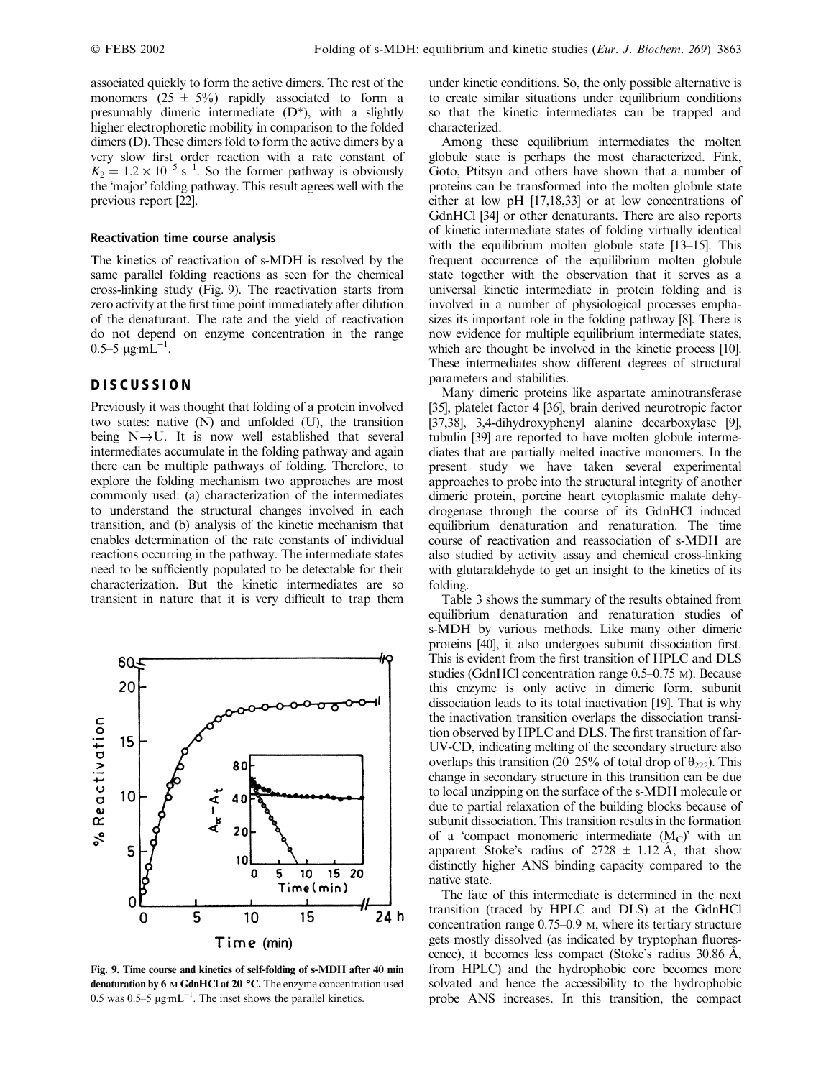associated quickly to form the active dimers. The rest of the monomers  $(25 \pm 5\%)$  rapidly associated to form a presumably dimeric intermediate (D\*), with a slightly higher electrophoretic mobility in comparison to the folded dimers (D). These dimers fold to form the active dimers by a very slow first order reaction with a rate constant of  $K_2 = 1.2 \times 10^{-5} \text{ s}^{-1}$ . So the former pathway is obviously the 'major' folding pathway. This result agrees well with the previous report [22].

#### Reactivation time course analysis

The kinetics of reactivation of s-MDH is resolved by the same parallel folding reactions as seen for the chemical cross-linking study (Fig. 9). The reactivation starts from zero activity at the first time point immediately after dilution of the denaturant. The rate and the yield of reactivation do not depend on enzyme concentration in the range  $0.5-5 \ \mu \text{g} \cdot \text{m} \dot{\text{L}}^{-1}$ .

# **DISCUSSION**

Previously it was thought that folding of a protein involved two states: native (N) and unfolded (U), the transition being  $N \rightarrow U$ . It is now well established that several intermediates accumulate in the folding pathway and again there can be multiple pathways of folding. Therefore, to explore the folding mechanism two approaches are most commonly used: (a) characterization of the intermediates to understand the structural changes involved in each transition, and (b) analysis of the kinetic mechanism that enables determination of the rate constants of individual reactions occurring in the pathway. The intermediate states need to be sufficiently populated to be detectable for their characterization. But the kinetic intermediates are so transient in nature that it is very difficult to trap them



Fig. 9. Time course and kinetics of self-folding of s-MDH after 40 min denaturation by  $6 \text{ M }$  GdnHCl at  $20 \text{ °C}$ . The enzyme concentration used 0.5 was 0.5–5  $\mu$ g·mL<sup>-1</sup>. The inset shows the parallel kinetics.

under kinetic conditions. So, the only possible alternative is to create similar situations under equilibrium conditions so that the kinetic intermediates can be trapped and characterized.

Among these equilibrium intermediates the molten globule state is perhaps the most characterized. Fink, Goto, Ptitsyn and others have shown that a number of proteins can be transformed into the molten globule state either at low pH [17,18,33] or at low concentrations of GdnHCl [34] or other denaturants. There are also reports of kinetic intermediate states of folding virtually identical with the equilibrium molten globule state [13–15]. This frequent occurrence of the equilibrium molten globule state together with the observation that it serves as a universal kinetic intermediate in protein folding and is involved in a number of physiological processes emphasizes its important role in the folding pathway [8]. There is now evidence for multiple equilibrium intermediate states, which are thought be involved in the kinetic process [10]. These intermediates show different degrees of structural parameters and stabilities.

Many dimeric proteins like aspartate aminotransferase [35], platelet factor 4 [36], brain derived neurotropic factor [37,38], 3,4-dihydroxyphenyl alanine decarboxylase [9], tubulin [39] are reported to have molten globule intermediates that are partially melted inactive monomers. In the present study we have taken several experimental approaches to probe into the structural integrity of another dimeric protein, porcine heart cytoplasmic malate dehydrogenase through the course of its GdnHCl induced equilibrium denaturation and renaturation. The time course of reactivation and reassociation of s-MDH are also studied by activity assay and chemical cross-linking with glutaraldehyde to get an insight to the kinetics of its folding.

Table 3 shows the summary of the results obtained from equilibrium denaturation and renaturation studies of s-MDH by various methods. Like many other dimeric proteins [40], it also undergoes subunit dissociation first. This is evident from the first transition of HPLC and DLS studies (GdnHCl concentration range 0.5–0.75 M). Because this enzyme is only active in dimeric form, subunit dissociation leads to its total inactivation [19]. That is why the inactivation transition overlaps the dissociation transition observed by HPLC and DLS. The first transition of far-UV-CD, indicating melting of the secondary structure also overlaps this transition (20–25% of total drop of  $\theta_{222}$ ). This change in secondary structure in this transition can be due to local unzipping on the surface of the s-MDH molecule or due to partial relaxation of the building blocks because of subunit dissociation. This transition results in the formation of a 'compact monomeric intermediate  $(M_C)$ ' with an apparent Stoke's radius of  $2728 \pm 1.12$  Å, that show distinctly higher ANS binding capacity compared to the native state.

The fate of this intermediate is determined in the next transition (traced by HPLC and DLS) at the GdnHCl concentration range 0.75–0.9 M, where its tertiary structure gets mostly dissolved (as indicated by tryptophan fluorescence), it becomes less compact (Stoke's radius 30.86 A, from HPLC) and the hydrophobic core becomes more solvated and hence the accessibility to the hydrophobic probe ANS increases. In this transition, the compact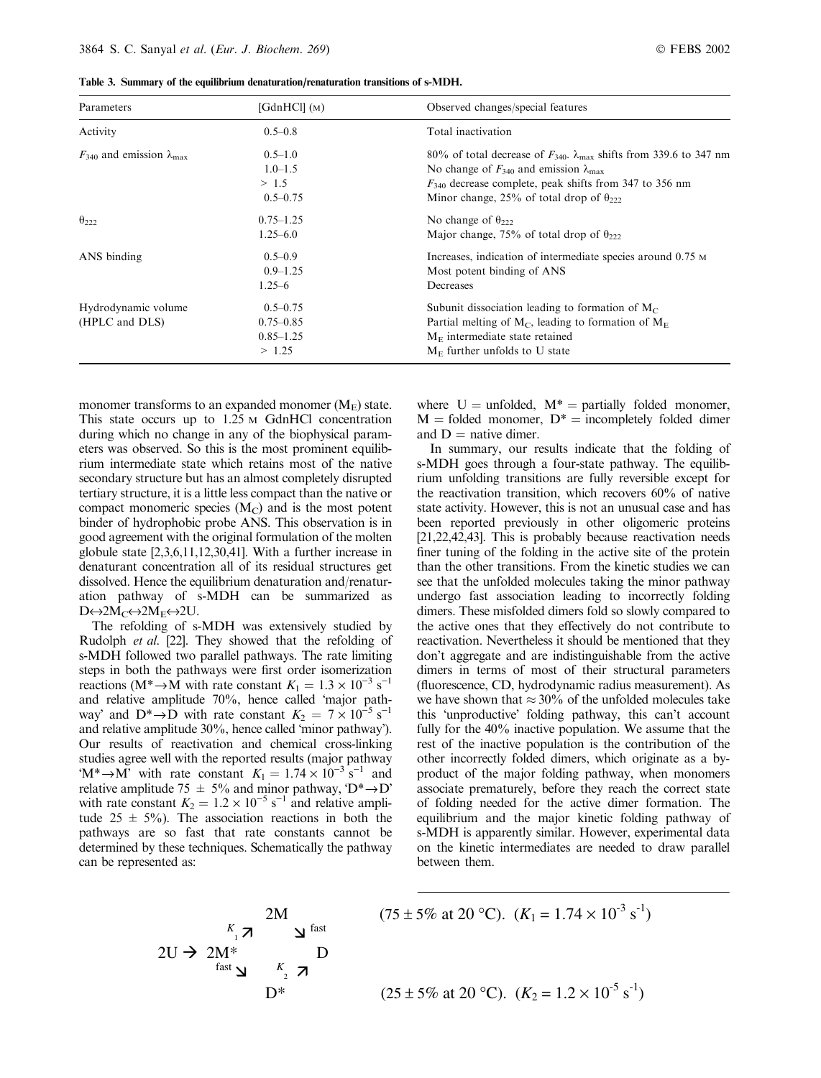|  |  |  |  | Table 3. Summary of the equilibrium denaturation/renaturation transitions of s-MDH. |  |  |  |
|--|--|--|--|-------------------------------------------------------------------------------------|--|--|--|
|--|--|--|--|-------------------------------------------------------------------------------------|--|--|--|

| Parameters                                    | [GdnHCl] (M)                        | Observed changes/special features                                                                                                                                                                                    |  |  |
|-----------------------------------------------|-------------------------------------|----------------------------------------------------------------------------------------------------------------------------------------------------------------------------------------------------------------------|--|--|
| Activity                                      | $0.5 - 0.8$                         | Total inactivation                                                                                                                                                                                                   |  |  |
| $F_{340}$ and emission $\lambda_{\text{max}}$ | $0.5 - 1.0$<br>$1.0 - 1.5$<br>> 1.5 | 80% of total decrease of $F_{340}$ . $\lambda_{\text{max}}$ shifts from 339.6 to 347 nm<br>No change of $F_{340}$ and emission $\lambda_{\text{max}}$<br>$F_{340}$ decrease complete, peak shifts from 347 to 356 nm |  |  |
|                                               | $0.5 - 0.75$                        | Minor change, 25% of total drop of $\theta_{222}$                                                                                                                                                                    |  |  |
| $\theta_{222}$                                | $0.75 - 1.25$                       | No change of $\theta_{222}$                                                                                                                                                                                          |  |  |
|                                               | $1.25 - 6.0$                        | Major change, 75% of total drop of $\theta_{222}$                                                                                                                                                                    |  |  |
| ANS binding                                   | $0.5 - 0.9$<br>$0.9 - 1.25$         | Increases, indication of intermediate species around 0.75 M<br>Most potent binding of ANS                                                                                                                            |  |  |
|                                               | $1.25 - 6$                          | Decreases                                                                                                                                                                                                            |  |  |
| Hydrodynamic volume                           | $0.5 - 0.75$                        | Subunit dissociation leading to formation of $M_C$                                                                                                                                                                   |  |  |
| (HPLC and DLS)                                | $0.75 - 0.85$                       | Partial melting of $M_C$ , leading to formation of $M_E$                                                                                                                                                             |  |  |
|                                               | $0.85 - 1.25$                       | $M_F$ intermediate state retained                                                                                                                                                                                    |  |  |
|                                               | > 1.25                              | $M_F$ further unfolds to U state                                                                                                                                                                                     |  |  |

monomer transforms to an expanded monomer  $(M<sub>E</sub>)$  state. This state occurs up to 1.25 M GdnHCl concentration during which no change in any of the biophysical parameters was observed. So this is the most prominent equilibrium intermediate state which retains most of the native secondary structure but has an almost completely disrupted tertiary structure, it is a little less compact than the native or compact monomeric species  $(M<sub>C</sub>)$  and is the most potent binder of hydrophobic probe ANS. This observation is in good agreement with the original formulation of the molten globule state [2,3,6,11,12,30,41]. With a further increase in denaturant concentration all of its residual structures get dissolved. Hence the equilibrium denaturation and/renaturation pathway of s-MDH can be summarized as  $D \leftrightarrow 2M_C \leftrightarrow 2M_E \leftrightarrow 2U$ .

The refolding of s-MDH was extensively studied by Rudolph et al. [22]. They showed that the refolding of s-MDH followed two parallel pathways. The rate limiting steps in both the pathways were first order isomerization reactions (M<sup>\*</sup> $\rightarrow$ M with rate constant  $K_1 = 1.3 \times 10^{-3}$  s<sup>-1</sup> and relative amplitude 70%, hence called major pathway' and  $D^* \rightarrow \overline{D}$  with rate constant  $K_2 = 7 \times 10^{-5}$  s<sup>-1</sup> and relative amplitude 30%, hence called 'minor pathway'). Our results of reactivation and chemical cross-linking studies agree well with the reported results (major pathway  $(M^* \rightarrow M^2)$  with rate constant  $K_1 = 1.74 \times 10^{-3}$  s<sup>-1</sup> and relative amplitude 75  $\pm$  5% and minor pathway, 'D<sup>\*</sup> $\rightarrow$ D' with rate constant  $K_2 = 1.2 \times 10^{-5} \text{ s}^{-1}$  and relative amplitude  $25 \pm 5\%$ ). The association reactions in both the pathways are so fast that rate constants cannot be determined by these techniques. Schematically the pathway can be represented as:

where  $U =$  unfolded,  $M^* =$  partially folded monomer,  $M =$  folded monomer,  $D^* =$  incompletely folded dimer and  $D =$  native dimer.

In summary, our results indicate that the folding of s-MDH goes through a four-state pathway. The equilibrium unfolding transitions are fully reversible except for the reactivation transition, which recovers 60% of native state activity. However, this is not an unusual case and has been reported previously in other oligomeric proteins [21,22,42,43]. This is probably because reactivation needs finer tuning of the folding in the active site of the protein than the other transitions. From the kinetic studies we can see that the unfolded molecules taking the minor pathway undergo fast association leading to incorrectly folding dimers. These misfolded dimers fold so slowly compared to the active ones that they effectively do not contribute to reactivation. Nevertheless it should be mentioned that they don't aggregate and are indistinguishable from the active dimers in terms of most of their structural parameters (fluorescence, CD, hydrodynamic radius measurement). As we have shown that  $\approx 30\%$  of the unfolded molecules take this 'unproductive' folding pathway, this can't account fully for the 40% inactive population. We assume that the rest of the inactive population is the contribution of the other incorrectly folded dimers, which originate as a byproduct of the major folding pathway, when monomers associate prematurely, before they reach the correct state of folding needed for the active dimer formation. The equilibrium and the major kinetic folding pathway of s-MDH is apparently similar. However, experimental data on the kinetic intermediates are needed to draw parallel between them.

$$
2U \rightarrow 2M^* \n\begin{array}{c}\n\begin{array}{c}\nK_1 \nearrow \\
\text{fast} \nearrow\n\end{array}\n\end{array}\n\begin{array}{c}\n(75 \pm 5\% \text{ at } 20 \text{ °C}). \ (K_1 = 1.74 \times 10^{-3} \text{ s}^{-1}) \\
\text{D*} \quad\n\begin{array}{c}\n\text{D*} \\
\text{D*}\n\end{array}\n\end{array}\n\begin{array}{c}\n(75 \pm 5\% \text{ at } 20 \text{ °C}). \ (K_1 = 1.74 \times 10^{-3} \text{ s}^{-1})\n\end{array}
$$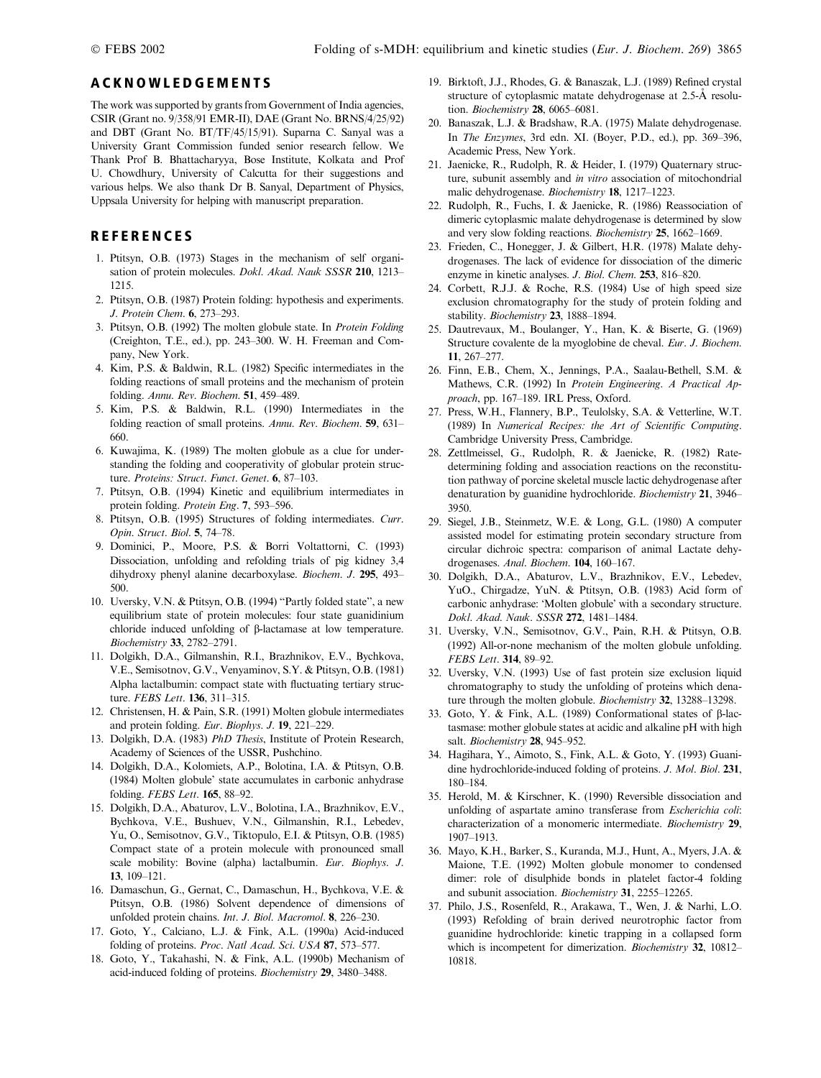## ACKNOWLEDGEMENTS

The work was supported by grants from Government of India agencies, CSIR (Grant no. 9/358/91 EMR-II), DAE (Grant No. BRNS/4/25/92) and DBT (Grant No. BT/TF/45/15/91). Suparna C. Sanyal was a University Grant Commission funded senior research fellow. We Thank Prof B. Bhattacharyya, Bose Institute, Kolkata and Prof U. Chowdhury, University of Calcutta for their suggestions and various helps. We also thank Dr B. Sanyal, Department of Physics, Uppsala University for helping with manuscript preparation.

## REFERENCES

- 1. Ptitsyn, O.B. (1973) Stages in the mechanism of self organisation of protein molecules. Dokl. Akad. Nauk SSSR 210, 1213-1215.
- 2. Ptitsyn, O.B. (1987) Protein folding: hypothesis and experiments. J. Protein Chem. 6, 273–293.
- 3. Ptitsyn, O.B. (1992) The molten globule state. In Protein Folding (Creighton, T.E., ed.), pp. 243–300. W. H. Freeman and Company, New York.
- 4. Kim, P.S. & Baldwin, R.L. (1982) Specific intermediates in the folding reactions of small proteins and the mechanism of protein folding. Annu. Rev. Biochem. 51, 459–489.
- 5. Kim, P.S. & Baldwin, R.L. (1990) Intermediates in the folding reaction of small proteins. Annu. Rev. Biochem. 59, 631– 660.
- 6. Kuwajima, K. (1989) The molten globule as a clue for understanding the folding and cooperativity of globular protein structure. Proteins: Struct. Funct. Genet. 6, 87-103.
- 7. Ptitsyn, O.B. (1994) Kinetic and equilibrium intermediates in protein folding. Protein Eng. 7, 593–596.
- 8. Ptitsyn, O.B. (1995) Structures of folding intermediates. Curr. Opin. Struct. Biol. 5, 74–78.
- 9. Dominici, P., Moore, P.S. & Borri Voltattorni, C. (1993) Dissociation, unfolding and refolding trials of pig kidney 3,4 dihydroxy phenyl alanine decarboxylase. Biochem. J. 295, 493– 500.
- 10. Uversky, V.N. & Ptitsyn, O.B. (1994) ''Partly folded state'', a new equilibrium state of protein molecules: four state guanidinium chloride induced unfolding of b-lactamase at low temperature. Biochemistry 33, 2782–2791.
- 11. Dolgikh, D.A., Gilmanshin, R.I., Brazhnikov, E.V., Bychkova, V.E., Semisotnov, G.V., Venyaminov, S.Y. & Ptitsyn, O.B. (1981) Alpha lactalbumin: compact state with fluctuating tertiary structure. FEBS Lett. 136, 311-315.
- 12. Christensen, H. & Pain, S.R. (1991) Molten globule intermediates and protein folding. Eur. Biophys. J. 19, 221–229.
- 13. Dolgikh, D.A. (1983) PhD Thesis, Institute of Protein Research, Academy of Sciences of the USSR, Pushchino.
- 14. Dolgikh, D.A., Kolomiets, A.P., Bolotina, I.A. & Ptitsyn, O.B. (1984) Molten globule' state accumulates in carbonic anhydrase folding. FEBS Lett. 165, 88–92.
- 15. Dolgikh, D.A., Abaturov, L.V., Bolotina, I.A., Brazhnikov, E.V., Bychkova, V.E., Bushuev, V.N., Gilmanshin, R.I., Lebedev, Yu, O., Semisotnov, G.V., Tiktopulo, E.I. & Ptitsyn, O.B. (1985) Compact state of a protein molecule with pronounced small scale mobility: Bovine (alpha) lactalbumin. Eur. Biophys. J. 13, 109–121.
- 16. Damaschun, G., Gernat, C., Damaschun, H., Bychkova, V.E. & Ptitsyn, O.B. (1986) Solvent dependence of dimensions of unfolded protein chains. Int. J. Biol. Macromol. 8, 226–230.
- 17. Goto, Y., Calciano, L.J. & Fink, A.L. (1990a) Acid-induced folding of proteins. Proc. Natl Acad. Sci. USA 87, 573-577.
- 18. Goto, Y., Takahashi, N. & Fink, A.L. (1990b) Mechanism of acid-induced folding of proteins. Biochemistry 29, 3480–3488.
- 19. Birktoft, J.J., Rhodes, G. & Banaszak, L.J. (1989) Refined crystal structure of cytoplasmic matate dehydrogenase at 2.5-Å resolution. Biochemistry 28, 6065–6081.
- 20. Banaszak, L.J. & Bradshaw, R.A. (1975) Malate dehydrogenase. In The Enzymes, 3rd edn. XI. (Boyer, P.D., ed.), pp. 369–396, Academic Press, New York.
- 21. Jaenicke, R., Rudolph, R. & Heider, I. (1979) Quaternary structure, subunit assembly and in vitro association of mitochondrial malic dehydrogenase. Biochemistry 18, 1217–1223.
- 22. Rudolph, R., Fuchs, I. & Jaenicke, R. (1986) Reassociation of dimeric cytoplasmic malate dehydrogenase is determined by slow and very slow folding reactions. Biochemistry 25, 1662–1669.
- 23. Frieden, C., Honegger, J. & Gilbert, H.R. (1978) Malate dehydrogenases. The lack of evidence for dissociation of the dimeric enzyme in kinetic analyses. J. Biol. Chem. 253, 816–820.
- 24. Corbett, R.J.J. & Roche, R.S. (1984) Use of high speed size exclusion chromatography for the study of protein folding and stability. Biochemistry 23, 1888-1894.
- 25. Dautrevaux, M., Boulanger, Y., Han, K. & Biserte, G. (1969) Structure covalente de la myoglobine de cheval. Eur. J. Biochem. 11, 267–277.
- 26. Finn, E.B., Chem, X., Jennings, P.A., Saalau-Bethell, S.M. & Mathews, C.R. (1992) In Protein Engineering. A Practical Approach, pp. 167–189. IRL Press, Oxford.
- 27. Press, W.H., Flannery, B.P., Teulolsky, S.A. & Vetterline, W.T. (1989) In Numerical Recipes: the Art of Scientific Computing. Cambridge University Press, Cambridge.
- 28. Zettlmeissel, G., Rudolph, R. & Jaenicke, R. (1982) Ratedetermining folding and association reactions on the reconstitution pathway of porcine skeletal muscle lactic dehydrogenase after denaturation by guanidine hydrochloride. Biochemistry 21, 3946– 3950.
- 29. Siegel, J.B., Steinmetz, W.E. & Long, G.L. (1980) A computer assisted model for estimating protein secondary structure from circular dichroic spectra: comparison of animal Lactate dehydrogenases. Anal. Biochem. 104, 160–167.
- 30. Dolgikh, D.A., Abaturov, L.V., Brazhnikov, E.V., Lebedev, YuO., Chirgadze, YuN. & Ptitsyn, O.B. (1983) Acid form of carbonic anhydrase: 'Molten globule' with a secondary structure. Dokl. Akad. Nauk. SSSR 272, 1481–1484.
- 31. Uversky, V.N., Semisotnov, G.V., Pain, R.H. & Ptitsyn, O.B. (1992) All-or-none mechanism of the molten globule unfolding. FEBS Lett. 314, 89–92.
- 32. Uversky, V.N. (1993) Use of fast protein size exclusion liquid chromatography to study the unfolding of proteins which denature through the molten globule. Biochemistry 32, 13288-13298.
- 33. Goto, Y. & Fink, A.L. (1989) Conformational states of  $\beta$ -lactasmase: mother globule states at acidic and alkaline pH with high salt. Biochemistry 28, 945-952.
- 34. Hagihara, Y., Aimoto, S., Fink, A.L. & Goto, Y. (1993) Guanidine hydrochloride-induced folding of proteins. J. Mol. Biol. 231, 180–184.
- 35. Herold, M. & Kirschner, K. (1990) Reversible dissociation and unfolding of aspartate amino transferase from Escherichia coli: characterization of a monomeric intermediate. Biochemistry 29, 1907–1913.
- 36. Mayo, K.H., Barker, S., Kuranda, M.J., Hunt, A., Myers, J.A. & Maione, T.E. (1992) Molten globule monomer to condensed dimer: role of disulphide bonds in platelet factor-4 folding and subunit association. Biochemistry 31, 2255–12265.
- 37. Philo, J.S., Rosenfeld, R., Arakawa, T., Wen, J. & Narhi, L.O. (1993) Refolding of brain derived neurotrophic factor from guanidine hydrochloride: kinetic trapping in a collapsed form which is incompetent for dimerization. Biochemistry 32, 10812– 10818.